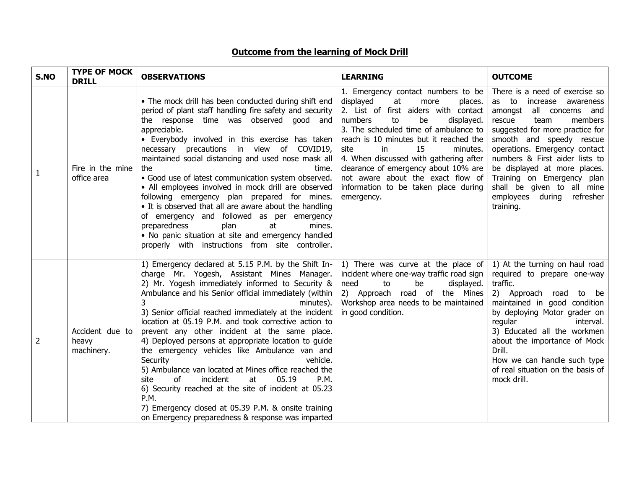## **Outcome from the learning of Mock Drill**

| S.NO | <b>TYPE OF MOCK</b><br><b>DRILL</b>    | <b>OBSERVATIONS</b>                                                                                                                                                                                                                                                                                                                                                                                                                                                                                                                                                                                                                                                                                                                                                                                                                     | <b>LEARNING</b>                                                                                                                                                                                                                                                                                                                                                                                                                                        | <b>OUTCOME</b>                                                                                                                                                                                                                                                                                                                                                                                        |
|------|----------------------------------------|-----------------------------------------------------------------------------------------------------------------------------------------------------------------------------------------------------------------------------------------------------------------------------------------------------------------------------------------------------------------------------------------------------------------------------------------------------------------------------------------------------------------------------------------------------------------------------------------------------------------------------------------------------------------------------------------------------------------------------------------------------------------------------------------------------------------------------------------|--------------------------------------------------------------------------------------------------------------------------------------------------------------------------------------------------------------------------------------------------------------------------------------------------------------------------------------------------------------------------------------------------------------------------------------------------------|-------------------------------------------------------------------------------------------------------------------------------------------------------------------------------------------------------------------------------------------------------------------------------------------------------------------------------------------------------------------------------------------------------|
| 1    | Fire in the mine<br>office area        | • The mock drill has been conducted during shift end<br>period of plant staff handling fire safety and security<br>the response time was observed good and<br>appreciable.<br>• Everybody involved in this exercise has taken<br>necessary precautions in view of COVID19,<br>maintained social distancing and used nose mask all<br>the<br>time.<br>· Good use of latest communication system observed.<br>• All employees involved in mock drill are observed<br>following emergency plan prepared for mines.<br>• It is observed that all are aware about the handling<br>of emergency and followed as per emergency<br>preparedness<br>plan<br>mines.<br>at<br>• No panic situation at site and emergency handled<br>properly with instructions from site controller.                                                               | 1. Emergency contact numbers to be<br>displayed<br>at<br>more<br>places.<br>2. List of first aiders with contact<br>to<br>displayed.<br>numbers<br>be<br>3. The scheduled time of ambulance to<br>reach is 10 minutes but it reached the<br>15<br>site<br>in.<br>minutes.<br>4. When discussed with gathering after<br>clearance of emergency about 10% are<br>not aware about the exact flow of<br>information to be taken place during<br>emergency. | There is a need of exercise so<br>as to<br>increase awareness<br>all concerns and<br>amongst<br>members<br>rescue<br>team<br>suggested for more practice for<br>smooth and speedy rescue<br>operations. Emergency contact<br>numbers & First aider lists to<br>be displayed at more places.<br>Training on Emergency plan<br>shall be given to all mine<br>employees during<br>refresher<br>training. |
| 2    | Accident due to<br>heavy<br>machinery. | 1) Emergency declared at 5.15 P.M. by the Shift In-<br>charge Mr. Yogesh, Assistant Mines Manager.<br>2) Mr. Yogesh immediately informed to Security &<br>Ambulance and his Senior official immediately (within<br>minutes).<br>3) Senior official reached immediately at the incident<br>location at 05.19 P.M. and took corrective action to<br>prevent any other incident at the same place.<br>4) Deployed persons at appropriate location to guide<br>the emergency vehicles like Ambulance van and<br>Security<br>vehicle.<br>5) Ambulance van located at Mines office reached the<br><sub>of</sub><br>incident<br>at<br>05.19<br><b>P.M.</b><br>site<br>6) Security reached at the site of incident at 05.23<br>P.M.<br>7) Emergency closed at 05.39 P.M. & onsite training<br>on Emergency preparedness & response was imparted | 1) There was curve at the place of<br>incident where one-way traffic road sign<br>need<br>to<br>be<br>displayed.<br>2) Approach road of the Mines<br>Workshop area needs to be maintained<br>in good condition.                                                                                                                                                                                                                                        | 1) At the turning on haul road<br>required to prepare one-way<br>traffic.<br>2) Approach road<br>to be<br>maintained in good condition<br>by deploying Motor grader on<br>regular<br>interval.<br>3) Educated all the workmen<br>about the importance of Mock<br>Drill.<br>How we can handle such type<br>of real situation on the basis of<br>mock drill.                                            |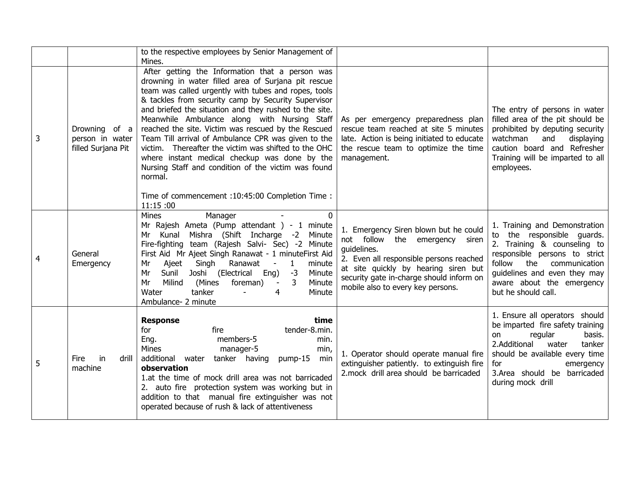|   |                                                        | to the respective employees by Senior Management of<br>Mines.                                                                                                                                                                                                                                                                                                                                                                                                                                                                                                                                                                                                                             |                                                                                                                                                                                                                                                            |                                                                                                                                                                                                                                                |
|---|--------------------------------------------------------|-------------------------------------------------------------------------------------------------------------------------------------------------------------------------------------------------------------------------------------------------------------------------------------------------------------------------------------------------------------------------------------------------------------------------------------------------------------------------------------------------------------------------------------------------------------------------------------------------------------------------------------------------------------------------------------------|------------------------------------------------------------------------------------------------------------------------------------------------------------------------------------------------------------------------------------------------------------|------------------------------------------------------------------------------------------------------------------------------------------------------------------------------------------------------------------------------------------------|
| 3 | Drowning of a<br>person in water<br>filled Surjana Pit | After getting the Information that a person was<br>drowning in water filled area of Surjana pit rescue<br>team was called urgently with tubes and ropes, tools<br>& tackles from security camp by Security Supervisor<br>and briefed the situation and they rushed to the site.<br>Meanwhile Ambulance along with Nursing Staff<br>reached the site. Victim was rescued by the Rescued<br>Team Till arrival of Ambulance CPR was given to the<br>victim. Thereafter the victim was shifted to the OHC<br>where instant medical checkup was done by the<br>Nursing Staff and condition of the victim was found<br>normal.<br>Time of commencement : 10:45:00 Completion Time :<br>11:15:00 | As per emergency preparedness plan<br>rescue team reached at site 5 minutes<br>late. Action is being initiated to educate<br>the rescue team to optimize the time<br>management.                                                                           | The entry of persons in water<br>filled area of the pit should be<br>prohibited by deputing security<br>watchman<br>and<br>displaying<br>caution board and Refresher<br>Training will be imparted to all<br>employees.                         |
| 4 | General<br>Emergency                                   | Mines<br>Manager<br>0<br>Mr Rajesh Ameta (Pump attendant) - 1 minute<br>Mishra (Shift Incharge -2 Minute<br>Mr<br>Kunal<br>Fire-fighting team (Rajesh Salvi- Sec) -2 Minute<br>First Aid Mr Ajeet Singh Ranawat - 1 minuteFirst Aid<br>Ajeet<br>Singh<br>Ranawat<br>minute<br>Mr<br>$\blacksquare$<br>$\mathbf{1}$<br>Sunil<br>Joshi (Electrical Eng)<br>$-3$<br>Minute<br>Mr<br>Milind<br>Mr<br>(Mines<br>3<br>Minute<br>foreman)<br>$\sim$<br>tanker<br>Water<br>4<br>Minute<br>Ambulance- 2 minute                                                                                                                                                                                     | 1. Emergency Siren blown but he could<br>not follow the emergency siren<br>quidelines.<br>2. Even all responsible persons reached<br>at site quickly by hearing siren but<br>security gate in-charge should inform on<br>mobile also to every key persons. | 1. Training and Demonstration<br>to the responsible guards.<br>2. Training & counseling to<br>responsible persons to strict<br>follow the<br>communication<br>guidelines and even they may<br>aware about the emergency<br>but he should call. |
| 5 | drill<br>Fire<br>in<br>machine                         | <b>Response</b><br>time<br>tender-8.min.<br>for<br>fire<br>members-5<br>Eng.<br>min.<br>Mines<br>manager-5<br>min,<br>additional water<br>tanker having<br>pump-15<br>min<br>observation<br>1.at the time of mock drill area was not barricaded<br>2. auto fire protection system was working but in<br>addition to that manual fire extinguisher was not<br>operated because of rush & lack of attentiveness                                                                                                                                                                                                                                                                             | 1. Operator should operate manual fire<br>extinguisher patiently. to extinguish fire<br>2. mock drill area should be barricaded                                                                                                                            | 1. Ensure all operators should<br>be imparted fire safety training<br>basis.<br>regular<br>on<br>2.Additional<br>tanker<br>water<br>should be available every time<br>for<br>emergency<br>3.Area should be barricaded<br>during mock drill     |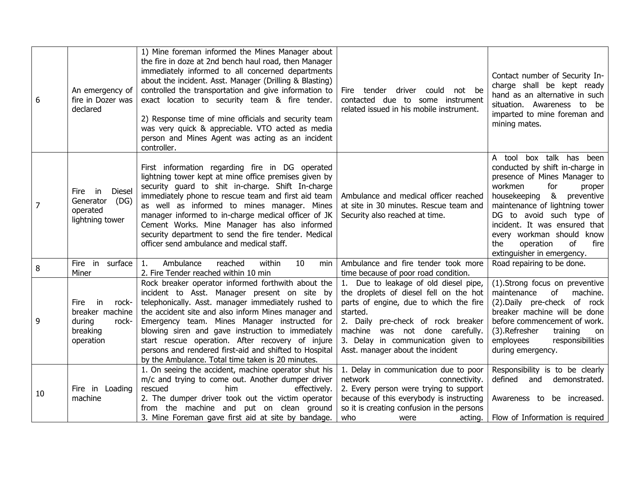| 6  | An emergency of<br>fire in Dozer was<br>declared                                   | 1) Mine foreman informed the Mines Manager about<br>the fire in doze at 2nd bench haul road, then Manager<br>immediately informed to all concerned departments<br>about the incident. Asst. Manager (Drilling & Blasting)<br>controlled the transportation and give information to<br>exact location to security team & fire tender.<br>2) Response time of mine officials and security team<br>was very quick & appreciable. VTO acted as media<br>person and Mines Agent was acting as an incident<br>controller. | Fire tender driver could not be<br>contacted due to some instrument<br>related issued in his mobile instrument.                                                                                                                                                                             | Contact number of Security In-<br>charge shall be kept ready<br>hand as an alternative in such<br>situation. Awareness to be<br>imparted to mine foreman and<br>mining mates.                                                                                                                                                                                          |
|----|------------------------------------------------------------------------------------|---------------------------------------------------------------------------------------------------------------------------------------------------------------------------------------------------------------------------------------------------------------------------------------------------------------------------------------------------------------------------------------------------------------------------------------------------------------------------------------------------------------------|---------------------------------------------------------------------------------------------------------------------------------------------------------------------------------------------------------------------------------------------------------------------------------------------|------------------------------------------------------------------------------------------------------------------------------------------------------------------------------------------------------------------------------------------------------------------------------------------------------------------------------------------------------------------------|
| 7  | <b>Diesel</b><br>in<br>Fire<br>Generator<br>(DG)<br>operated<br>lightning tower    | First information regarding fire in DG operated<br>lightning tower kept at mine office premises given by<br>security guard to shit in-charge. Shift In-charge<br>immediately phone to rescue team and first aid team<br>as well as informed to mines manager. Mines<br>manager informed to in-charge medical officer of JK<br>Cement Works. Mine Manager has also informed<br>security department to send the fire tender. Medical<br>officer send ambulance and medical staff.                                     | Ambulance and medical officer reached<br>at site in 30 minutes. Rescue team and<br>Security also reached at time.                                                                                                                                                                           | box talk has been<br>A tool<br>conducted by shift in-charge in<br>presence of Mines Manager to<br>workmen<br>for<br>proper<br>8 <sub>k</sub><br>housekeeping<br>preventive<br>maintenance of lightning tower<br>DG to avoid such type of<br>incident. It was ensured that<br>every workman should know<br>operation<br>of<br>fire<br>the<br>extinguisher in emergency. |
| 8  | Fire in surface<br>Miner                                                           | $\mathbf{1}$ .<br>Ambulance<br>reached<br>within<br>10<br>min<br>2. Fire Tender reached within 10 min                                                                                                                                                                                                                                                                                                                                                                                                               | Ambulance and fire tender took more<br>time because of poor road condition.                                                                                                                                                                                                                 | Road repairing to be done.                                                                                                                                                                                                                                                                                                                                             |
| 9  | in<br>rock-<br>Fire<br>breaker machine<br>during<br>rock-<br>breaking<br>operation | Rock breaker operator informed forthwith about the<br>incident to Asst. Manager present on site by<br>telephonically. Asst. manager immediately rushed to<br>the accident site and also inform Mines manager and<br>Emergency team. Mines Manager instructed for<br>blowing siren and gave instruction to immediately<br>start rescue operation. After recovery of injure<br>persons and rendered first-aid and shifted to Hospital<br>by the Ambulance. Total time taken is 20 minutes.                            | 1. Due to leakage of old diesel pipe,<br>the droplets of diesel fell on the hot<br>parts of engine, due to which the fire<br>started.<br>2. Daily pre-check of rock breaker<br>was not done carefully.<br>machine<br>3. Delay in communication given to<br>Asst. manager about the incident | (1).Strong focus on preventive<br>maintenance<br>of<br>machine.<br>(2). Daily pre-check of rock<br>breaker machine will be done<br>before commencement of work.<br>(3).Refresher<br>training<br>on<br>employees<br>responsibilities<br>during emergency.                                                                                                               |
| 10 | Fire in Loading<br>machine                                                         | 1. On seeing the accident, machine operator shut his<br>m/c and trying to come out. Another dumper driver<br>him<br>rescued<br>effectively.<br>2. The dumper driver took out the victim operator<br>from the machine and put on clean ground<br>3. Mine Foreman gave first aid at site by bandage.                                                                                                                                                                                                                  | 1. Delay in communication due to poor<br>network<br>connectivity.<br>2. Every person were trying to support<br>because of this everybody is instructing<br>so it is creating confusion in the persons<br>who<br>acting.<br>were                                                             | Responsibility is to be clearly<br>defined<br>and<br>demonstrated.<br>Awareness to be increased.<br>Flow of Information is required                                                                                                                                                                                                                                    |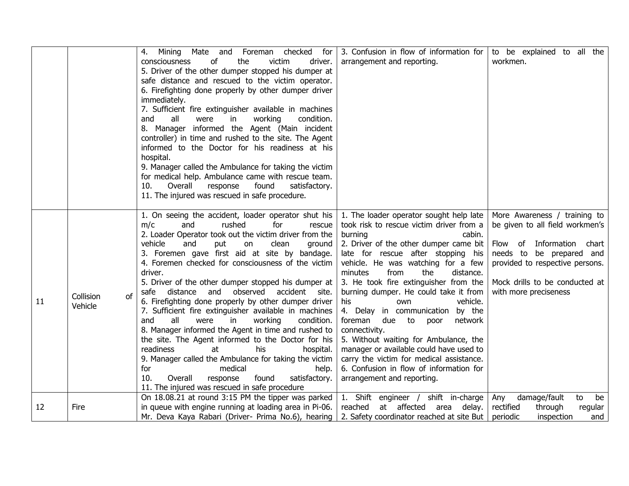|    |                 | checked<br>4.<br>Mining<br>Mate<br>and<br>Foreman<br>for | 3. Confusion in flow of information for   | to be explained to all the      |
|----|-----------------|----------------------------------------------------------|-------------------------------------------|---------------------------------|
|    |                 | victim<br>consciousness<br>οf<br>the<br>driver.          | arrangement and reporting.                | workmen.                        |
|    |                 | 5. Driver of the other dumper stopped his dumper at      |                                           |                                 |
|    |                 | safe distance and rescued to the victim operator.        |                                           |                                 |
|    |                 | 6. Firefighting done properly by other dumper driver     |                                           |                                 |
|    |                 | immediately.                                             |                                           |                                 |
|    |                 | 7. Sufficient fire extinguisher available in machines    |                                           |                                 |
|    |                 | all<br>working<br>condition.<br>and<br>were<br>in.       |                                           |                                 |
|    |                 | 8. Manager informed the Agent (Main incident             |                                           |                                 |
|    |                 | controller) in time and rushed to the site. The Agent    |                                           |                                 |
|    |                 | informed to the Doctor for his readiness at his          |                                           |                                 |
|    |                 | hospital.                                                |                                           |                                 |
|    |                 | 9. Manager called the Ambulance for taking the victim    |                                           |                                 |
|    |                 | for medical help. Ambulance came with rescue team.       |                                           |                                 |
|    |                 | 10.<br>Overall<br>response<br>found<br>satisfactory.     |                                           |                                 |
|    |                 | 11. The injured was rescued in safe procedure.           |                                           |                                 |
|    |                 |                                                          |                                           |                                 |
|    |                 | 1. On seeing the accident, loader operator shut his      | 1. The loader operator sought help late   | More Awareness / training to    |
|    |                 | m/c<br>rushed<br>for<br>and<br>rescue                    | took risk to rescue victim driver from a  | be given to all field workmen's |
|    |                 | 2. Loader Operator took out the victim driver from the   | burning<br>cabin.                         |                                 |
|    |                 | vehicle<br>and<br>clean<br>ground<br>put<br>on           | 2. Driver of the other dumper came bit    | Flow of Information<br>chart    |
|    |                 | 3. Foremen gave first aid at site by bandage.            | late for rescue after stopping his        | needs to be prepared and        |
|    |                 | 4. Foremen checked for consciousness of the victim       | vehicle. He was watching for a few        | provided to respective persons. |
|    |                 | driver.                                                  | minutes<br>from<br>the<br>distance.       |                                 |
|    |                 | 5. Driver of the other dumper stopped his dumper at      | 3. He took fire extinguisher from the     | Mock drills to be conducted at  |
|    | Collision<br>of | distance and observed accident site.<br>safe             | burning dumper. He could take it from     | with more preciseness           |
| 11 | Vehicle         | 6. Firefighting done properly by other dumper driver     | his<br>vehicle.<br>own                    |                                 |
|    |                 | 7. Sufficient fire extinguisher available in machines    | 4. Delay in communication<br>by the       |                                 |
|    |                 | and<br>all<br>working<br>condition.<br>were<br>in        | foreman due to<br>network<br>poor         |                                 |
|    |                 | 8. Manager informed the Agent in time and rushed to      | connectivity.                             |                                 |
|    |                 | the site. The Agent informed to the Doctor for his       | 5. Without waiting for Ambulance, the     |                                 |
|    |                 | readiness<br>at<br>his<br>hospital.                      | manager or available could have used to   |                                 |
|    |                 | 9. Manager called the Ambulance for taking the victim    | carry the victim for medical assistance.  |                                 |
|    |                 | for<br>medical<br>help.                                  | 6. Confusion in flow of information for   |                                 |
|    |                 | 10.<br>Overall<br>response<br>found<br>satisfactory.     | arrangement and reporting.                |                                 |
|    |                 | 11. The injured was rescued in safe procedure            |                                           |                                 |
|    |                 | On 18.08.21 at round 3:15 PM the tipper was parked       | 1. Shift engineer / shift in-charge       | damage/fault<br>be<br>Any<br>to |
| 12 | Fire            | in queue with engine running at loading area in Pi-06.   | reached<br>at affected area delay.        | rectified<br>through<br>regular |
|    |                 | Mr. Deva Kaya Rabari (Driver- Prima No.6), hearing       | 2. Safety coordinator reached at site But | inspection<br>periodic<br>and   |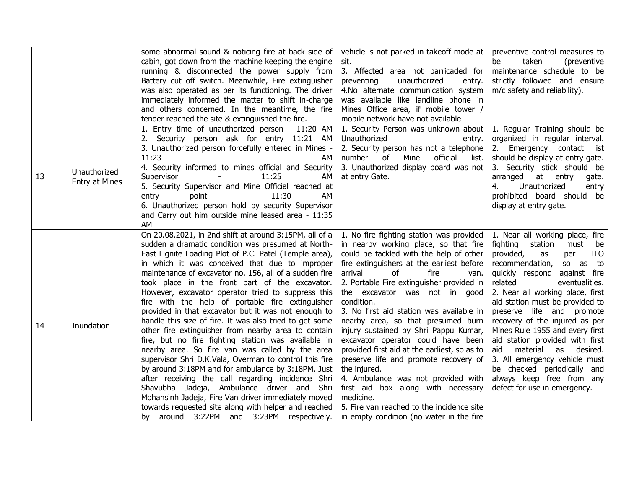|    |                       | some abnormal sound & noticing fire at back side of                                                    | vehicle is not parked in takeoff mode at                                    | preventive control measures to                                                                                                                                                                                                                                                                                                                                                                                                                                                                                                                                                                                                                                 |
|----|-----------------------|--------------------------------------------------------------------------------------------------------|-----------------------------------------------------------------------------|----------------------------------------------------------------------------------------------------------------------------------------------------------------------------------------------------------------------------------------------------------------------------------------------------------------------------------------------------------------------------------------------------------------------------------------------------------------------------------------------------------------------------------------------------------------------------------------------------------------------------------------------------------------|
|    |                       | cabin, got down from the machine keeping the engine                                                    | sit.                                                                        | taken<br>be<br>(preventive                                                                                                                                                                                                                                                                                                                                                                                                                                                                                                                                                                                                                                     |
|    |                       | running & disconnected the power supply from<br>Battery cut off switch. Meanwhile, Fire extinguisher   | 3. Affected area not barricaded for<br>preventing<br>unauthorized<br>entry. |                                                                                                                                                                                                                                                                                                                                                                                                                                                                                                                                                                                                                                                                |
|    |                       | was also operated as per its functioning. The driver                                                   | 4.No alternate communication system                                         |                                                                                                                                                                                                                                                                                                                                                                                                                                                                                                                                                                                                                                                                |
|    |                       | immediately informed the matter to shift in-charge                                                     | was available like landline phone in                                        |                                                                                                                                                                                                                                                                                                                                                                                                                                                                                                                                                                                                                                                                |
|    |                       | and others concerned. In the meantime, the fire                                                        | Mines Office area, if mobile tower /                                        |                                                                                                                                                                                                                                                                                                                                                                                                                                                                                                                                                                                                                                                                |
|    |                       | tender reached the site & extinguished the fire.                                                       | mobile network have not available                                           |                                                                                                                                                                                                                                                                                                                                                                                                                                                                                                                                                                                                                                                                |
|    |                       | 1. Entry time of unauthorized person - 11:20 AM                                                        | 1. Security Person was unknown about   1. Regular Training should be        |                                                                                                                                                                                                                                                                                                                                                                                                                                                                                                                                                                                                                                                                |
|    |                       | 2. Security person ask for entry 11:21 AM                                                              | Unauthorized<br>entry.                                                      |                                                                                                                                                                                                                                                                                                                                                                                                                                                                                                                                                                                                                                                                |
|    |                       | 3. Unauthorized person forcefully entered in Mines -                                                   | 2. Security person has not a telephone                                      |                                                                                                                                                                                                                                                                                                                                                                                                                                                                                                                                                                                                                                                                |
|    |                       | 11:23<br>AM.                                                                                           | number<br>official<br>of<br>Mine<br>list.                                   |                                                                                                                                                                                                                                                                                                                                                                                                                                                                                                                                                                                                                                                                |
|    | Unauthorized          | 4. Security informed to mines official and Security                                                    | 3. Unauthorized display board was not                                       | arranged<br>at entry<br>gate.<br>4.<br>Unauthorized<br>entry                                                                                                                                                                                                                                                                                                                                                                                                                                                                                                                                                                                                   |
| 13 | <b>Entry at Mines</b> | Supervisor<br>11:25<br>AΜ                                                                              | at entry Gate.                                                              |                                                                                                                                                                                                                                                                                                                                                                                                                                                                                                                                                                                                                                                                |
|    |                       | 5. Security Supervisor and Mine Official reached at<br>11:30<br>AM<br>point<br>entry                   |                                                                             |                                                                                                                                                                                                                                                                                                                                                                                                                                                                                                                                                                                                                                                                |
|    |                       | 6. Unauthorized person hold by security Supervisor                                                     |                                                                             |                                                                                                                                                                                                                                                                                                                                                                                                                                                                                                                                                                                                                                                                |
|    |                       | and Carry out him outside mine leased area - 11:35                                                     |                                                                             |                                                                                                                                                                                                                                                                                                                                                                                                                                                                                                                                                                                                                                                                |
|    |                       | AM                                                                                                     |                                                                             |                                                                                                                                                                                                                                                                                                                                                                                                                                                                                                                                                                                                                                                                |
|    |                       | On 20.08.2021, in 2nd shift at around 3:15PM, all of a                                                 | 1. No fire fighting station was provided                                    | 1. Near all working place, fire                                                                                                                                                                                                                                                                                                                                                                                                                                                                                                                                                                                                                                |
|    |                       | sudden a dramatic condition was presumed at North-                                                     | in nearby working place, so that fire                                       | fighting<br>station<br>must<br>be                                                                                                                                                                                                                                                                                                                                                                                                                                                                                                                                                                                                                              |
|    |                       | East Lignite Loading Plot of P.C. Patel (Temple area),                                                 | could be tackled with the help of other                                     | as                                                                                                                                                                                                                                                                                                                                                                                                                                                                                                                                                                                                                                                             |
|    |                       | in which it was conceived that due to improper                                                         | fire extinguishers at the earliest before                                   |                                                                                                                                                                                                                                                                                                                                                                                                                                                                                                                                                                                                                                                                |
|    |                       | maintenance of excavator no. 156, all of a sudden fire                                                 | arrival<br>fire<br>οf<br>van.                                               | organized in regular interval.<br>2. Emergency contact list<br>should be display at entry gate.<br>3. Security stick should be<br>prohibited board should be<br>display at entry gate.<br>ILO<br>provided,<br>per<br>recommendation,<br>so as to<br>quickly respond<br>against fire<br>related<br>eventualities.<br>2. Near all working place, first<br>aid station must be provided to<br>preserve life and promote<br>recovery of the injured as per<br>Mines Rule 1955 and every first<br>aid station provided with first<br>material<br>desired.<br>aid<br>as<br>3. All emergency vehicle must<br>be checked periodically and<br>always keep free from any |
|    |                       | took place in the front part of the excavator.                                                         | 2. Portable Fire extinguisher provided in                                   |                                                                                                                                                                                                                                                                                                                                                                                                                                                                                                                                                                                                                                                                |
|    |                       | However, excavator operator tried to suppress this<br>fire with the help of portable fire extinguisher | the excavator was not in good<br>condition.                                 | maintenance schedule to be<br>strictly followed and ensure<br>m/c safety and reliability).<br>defect for use in emergency.                                                                                                                                                                                                                                                                                                                                                                                                                                                                                                                                     |
|    |                       | provided in that excavator but it was not enough to                                                    | 3. No first aid station was available in                                    |                                                                                                                                                                                                                                                                                                                                                                                                                                                                                                                                                                                                                                                                |
|    |                       | handle this size of fire. It was also tried to get some                                                | nearby area, so that presumed burn                                          |                                                                                                                                                                                                                                                                                                                                                                                                                                                                                                                                                                                                                                                                |
| 14 | Inundation            | other fire extinguisher from nearby area to contain                                                    | injury sustained by Shri Pappu Kumar,                                       |                                                                                                                                                                                                                                                                                                                                                                                                                                                                                                                                                                                                                                                                |
|    |                       | fire, but no fire fighting station was available in                                                    | excavator operator could have been                                          |                                                                                                                                                                                                                                                                                                                                                                                                                                                                                                                                                                                                                                                                |
|    |                       | nearby area. So fire van was called by the area                                                        | provided first aid at the earliest, so as to                                |                                                                                                                                                                                                                                                                                                                                                                                                                                                                                                                                                                                                                                                                |
|    |                       | supervisor Shri D.K.Vala, Overman to control this fire                                                 | preserve life and promote recovery of                                       |                                                                                                                                                                                                                                                                                                                                                                                                                                                                                                                                                                                                                                                                |
|    |                       | by around 3:18PM and for ambulance by 3:18PM. Just                                                     | the injured.                                                                |                                                                                                                                                                                                                                                                                                                                                                                                                                                                                                                                                                                                                                                                |
|    |                       | after receiving the call regarding incidence Shri                                                      | 4. Ambulance was not provided with                                          |                                                                                                                                                                                                                                                                                                                                                                                                                                                                                                                                                                                                                                                                |
|    |                       | Shavubha Jadeja, Ambulance driver and<br>Shri                                                          | first aid box along with necessary                                          |                                                                                                                                                                                                                                                                                                                                                                                                                                                                                                                                                                                                                                                                |
|    |                       | Mohansinh Jadeja, Fire Van driver immediately moved                                                    | medicine.                                                                   |                                                                                                                                                                                                                                                                                                                                                                                                                                                                                                                                                                                                                                                                |
|    |                       | towards requested site along with helper and reached                                                   | 5. Fire van reached to the incidence site                                   |                                                                                                                                                                                                                                                                                                                                                                                                                                                                                                                                                                                                                                                                |
|    |                       | by around 3:22PM and 3:23PM respectively.                                                              | in empty condition (no water in the fire                                    |                                                                                                                                                                                                                                                                                                                                                                                                                                                                                                                                                                                                                                                                |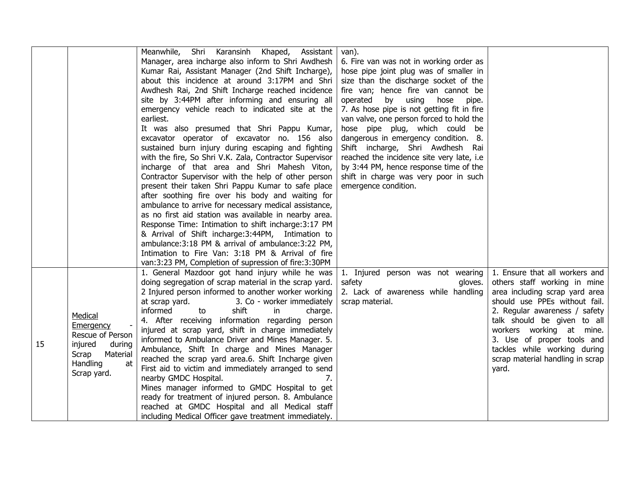|    |                   | Meanwhile, Shri Karansinh Khaped, Assistant                                                               | van).                                                  |                                  |
|----|-------------------|-----------------------------------------------------------------------------------------------------------|--------------------------------------------------------|----------------------------------|
|    |                   | Manager, area incharge also inform to Shri Awdhesh                                                        | 6. Fire van was not in working order as                |                                  |
|    |                   | Kumar Rai, Assistant Manager (2nd Shift Incharge),                                                        | hose pipe joint plug was of smaller in                 |                                  |
|    |                   | about this incidence at around 3:17PM and Shri                                                            | size than the discharge socket of the                  |                                  |
|    |                   | Awdhesh Rai, 2nd Shift Incharge reached incidence                                                         | fire van; hence fire van cannot be                     |                                  |
|    |                   | site by 3:44PM after informing and ensuring all                                                           | operated<br>by<br>using<br>hose<br>pipe.               |                                  |
|    |                   | emergency vehicle reach to indicated site at the                                                          | 7. As hose pipe is not getting fit in fire             |                                  |
|    |                   | earliest.                                                                                                 | van valve, one person forced to hold the               |                                  |
|    |                   | It was also presumed that Shri Pappu Kumar,                                                               | hose pipe plug, which could be                         |                                  |
|    |                   | excavator operator of excavator no. 156 also                                                              | dangerous in emergency condition. 8.                   |                                  |
|    |                   | sustained burn injury during escaping and fighting                                                        | Shift incharge, Shri Awdhesh Rai                       |                                  |
|    |                   | with the fire, So Shri V.K. Zala, Contractor Supervisor                                                   | reached the incidence site very late, i.e.             |                                  |
|    |                   | incharge of that area and Shri Mahesh Viton,                                                              | by 3:44 PM, hence response time of the                 |                                  |
|    |                   | Contractor Supervisor with the help of other person                                                       | shift in charge was very poor in such                  |                                  |
|    |                   | present their taken Shri Pappu Kumar to safe place                                                        | emergence condition.                                   |                                  |
|    |                   | after soothing fire over his body and waiting for                                                         |                                                        |                                  |
|    |                   | ambulance to arrive for necessary medical assistance,                                                     |                                                        |                                  |
|    |                   | as no first aid station was available in nearby area.                                                     |                                                        |                                  |
|    |                   | Response Time: Intimation to shift incharge: 3:17 PM                                                      |                                                        |                                  |
|    |                   | & Arrival of Shift incharge: 3:44PM, Intimation to<br>ambulance: 3:18 PM & arrival of ambulance: 3:22 PM, |                                                        |                                  |
|    |                   |                                                                                                           |                                                        |                                  |
|    |                   | Intimation to Fire Van: 3:18 PM & Arrival of fire<br>van:3:23 PM, Completion of supression of fire:3:30PM |                                                        |                                  |
|    |                   |                                                                                                           |                                                        | 1. Ensure that all workers and   |
|    |                   | 1. General Mazdoor got hand injury while he was<br>doing segregation of scrap material in the scrap yard. | 1. Injured person was not wearing<br>safety<br>gloves. | others staff working in mine     |
|    |                   | 2 Injured person informed to another worker working                                                       | 2. Lack of awareness while handling                    | area including scrap yard area   |
|    |                   | at scrap yard.<br>3. Co - worker immediately                                                              | scrap material.                                        | should use PPEs without fail.    |
|    |                   | shift<br>informed<br>to<br>in.<br>charge.                                                                 |                                                        | 2. Regular awareness / safety    |
|    | Medical           | 4. After receiving information regarding person                                                           |                                                        | talk should be given to all      |
|    | Emergency         | injured at scrap yard, shift in charge immediately                                                        |                                                        | workers working at mine.         |
|    | Rescue of Person  | informed to Ambulance Driver and Mines Manager. 5.                                                        |                                                        | 3. Use of proper tools and       |
| 15 | injured<br>during | Ambulance, Shift In charge and Mines Manager                                                              |                                                        | tackles while working during     |
|    | Scrap<br>Material | reached the scrap yard area.6. Shift Incharge given                                                       |                                                        | scrap material handling in scrap |
|    | Handling<br>at    | First aid to victim and immediately arranged to send                                                      |                                                        | yard.                            |
|    | Scrap yard.       | nearby GMDC Hospital.<br>7.                                                                               |                                                        |                                  |
|    |                   | Mines manager informed to GMDC Hospital to get                                                            |                                                        |                                  |
|    |                   | ready for treatment of injured person. 8. Ambulance                                                       |                                                        |                                  |
|    |                   | reached at GMDC Hospital and all Medical staff                                                            |                                                        |                                  |
|    |                   | including Medical Officer gave treatment immediately.                                                     |                                                        |                                  |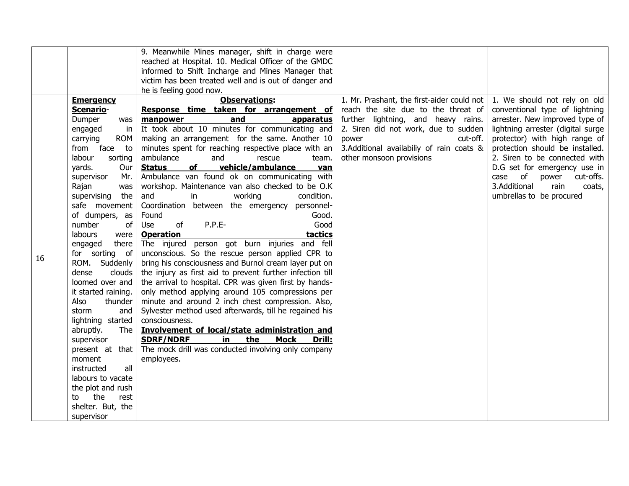|    |                                                                                                                                                                                                                                                                                                                                                                                                                                                                                                                                                                                                                                               | 9. Meanwhile Mines manager, shift in charge were<br>reached at Hospital. 10. Medical Officer of the GMDC<br>informed to Shift Incharge and Mines Manager that<br>victim has been treated well and is out of danger and                                                                                                                                                                                                                                                                                                                                                                                                                                                                                                                                                                                                                                                                                                                                                                                                                                                                                                                                                                                                                                                                                                 |                                                                                                                                                                                                                                                               |                                                                                                                                                                                                                                                                                                                                                                              |
|----|-----------------------------------------------------------------------------------------------------------------------------------------------------------------------------------------------------------------------------------------------------------------------------------------------------------------------------------------------------------------------------------------------------------------------------------------------------------------------------------------------------------------------------------------------------------------------------------------------------------------------------------------------|------------------------------------------------------------------------------------------------------------------------------------------------------------------------------------------------------------------------------------------------------------------------------------------------------------------------------------------------------------------------------------------------------------------------------------------------------------------------------------------------------------------------------------------------------------------------------------------------------------------------------------------------------------------------------------------------------------------------------------------------------------------------------------------------------------------------------------------------------------------------------------------------------------------------------------------------------------------------------------------------------------------------------------------------------------------------------------------------------------------------------------------------------------------------------------------------------------------------------------------------------------------------------------------------------------------------|---------------------------------------------------------------------------------------------------------------------------------------------------------------------------------------------------------------------------------------------------------------|------------------------------------------------------------------------------------------------------------------------------------------------------------------------------------------------------------------------------------------------------------------------------------------------------------------------------------------------------------------------------|
| 16 | <b>Emergency</b><br>Scenario-<br>Dumper<br>was<br>engaged<br>in<br>carrying<br><b>ROM</b><br>face<br>from<br>to<br>labour<br>sorting<br>yards.<br>Our<br>supervisor<br>Mr.<br>Rajan<br>was<br>supervising<br>the<br>safe movement<br>of dumpers, as<br>of<br>number<br>labours<br>were<br>there<br>engaged<br>for sorting of<br>Suddenly<br>ROM.<br>clouds<br>dense<br>loomed over and<br>it started raining.<br>Also<br>thunder<br>storm<br>and<br>lightning started<br>abruptly.<br>The<br>supervisor<br>present at that<br>moment<br>all<br>instructed<br>labours to vacate<br>the plot and rush<br>the<br>rest<br>to<br>shelter. But, the | he is feeling good now.<br><b>Observations:</b><br>Response time taken for arrangement of<br>and<br>manpower<br>apparatus<br>It took about 10 minutes for communicating and<br>making an arrangement for the same. Another 10<br>minutes spent for reaching respective place with an<br>ambulance<br>and<br>rescue<br>team.<br>of<br>vehicle/ambulance<br><b>Status</b><br>van<br>Ambulance van found ok on communicating with<br>workshop. Maintenance van also checked to be O.K<br>working<br>and<br>in<br>condition.<br>Coordination between the emergency<br>personnel-<br>Found<br>Good.<br>of<br>P.P.E-<br>Good<br>Use<br><b>Operation</b><br>tactics<br>The injured person got burn injuries and fell<br>unconscious. So the rescue person applied CPR to<br>bring his consciousness and Burnol cream layer put on<br>the injury as first aid to prevent further infection till<br>the arrival to hospital. CPR was given first by hands-<br>only method applying around 105 compressions per<br>minute and around 2 inch chest compression. Also,<br>Sylvester method used afterwards, till he regained his<br>consciousness.<br>Involvement of local/state administration and<br>the<br>Drill:<br><b>SDRF/NDRF</b><br>in<br><b>Mock</b><br>The mock drill was conducted involving only company<br>employees. | 1. Mr. Prashant, the first-aider could not<br>reach the site due to the threat of<br>further lightning, and heavy rains.<br>2. Siren did not work, due to sudden<br>power<br>cut-off.<br>3.Additional availabiliy of rain coats &<br>other monsoon provisions | 1. We should not rely on old<br>conventional type of lightning<br>arrester. New improved type of<br>lightning arrester (digital surge<br>protector) with high range of<br>protection should be installed.<br>2. Siren to be connected with<br>D.G set for emergency use in<br>of<br>cut-offs.<br>case<br>power<br>3.Additional<br>rain<br>coats,<br>umbrellas to be procured |
|    | supervisor                                                                                                                                                                                                                                                                                                                                                                                                                                                                                                                                                                                                                                    |                                                                                                                                                                                                                                                                                                                                                                                                                                                                                                                                                                                                                                                                                                                                                                                                                                                                                                                                                                                                                                                                                                                                                                                                                                                                                                                        |                                                                                                                                                                                                                                                               |                                                                                                                                                                                                                                                                                                                                                                              |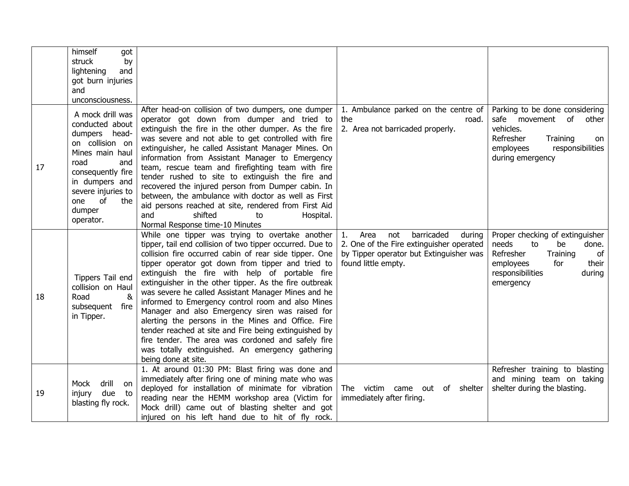|    | himself<br>got<br>struck<br>by<br>and<br>lightening<br>got burn injuries<br>and<br>unconsciousness.                                                                                                               |                                                                                                                                                                                                                                                                                                                                                                                                                                                                                                                                                                                                                                                                                                                                                        |                                                                                                                                                         |                                                                                                                                                                      |
|----|-------------------------------------------------------------------------------------------------------------------------------------------------------------------------------------------------------------------|--------------------------------------------------------------------------------------------------------------------------------------------------------------------------------------------------------------------------------------------------------------------------------------------------------------------------------------------------------------------------------------------------------------------------------------------------------------------------------------------------------------------------------------------------------------------------------------------------------------------------------------------------------------------------------------------------------------------------------------------------------|---------------------------------------------------------------------------------------------------------------------------------------------------------|----------------------------------------------------------------------------------------------------------------------------------------------------------------------|
| 17 | A mock drill was<br>conducted about<br>dumpers head-<br>on collision on<br>Mines main haul<br>road<br>and<br>consequently fire<br>in dumpers and<br>severe injuries to<br>of<br>one<br>the<br>dumper<br>operator. | After head-on collision of two dumpers, one dumper<br>operator got down from dumper and tried to<br>extinguish the fire in the other dumper. As the fire<br>was severe and not able to get controlled with fire<br>extinguisher, he called Assistant Manager Mines. On<br>information from Assistant Manager to Emergency<br>team, rescue team and firefighting team with fire<br>tender rushed to site to extinguish the fire and<br>recovered the injured person from Dumper cabin. In<br>between, the ambulance with doctor as well as First<br>aid persons reached at site, rendered from First Aid<br>and<br>shifted<br>to<br>Hospital.<br>Normal Response time-10 Minutes                                                                        | 1. Ambulance parked on the centre of<br>the<br>road.<br>2. Area not barricaded properly.                                                                | Parking to be done considering<br>safe movement<br>of<br>other<br>vehicles.<br>Refresher<br>Training<br>on<br>responsibilities<br>employees<br>during emergency      |
| 18 | Tippers Tail end<br>collision on Haul<br>Road<br>&<br>subsequent fire<br>in Tipper.                                                                                                                               | While one tipper was trying to overtake another<br>tipper, tail end collision of two tipper occurred. Due to<br>collision fire occurred cabin of rear side tipper. One<br>tipper operator got down from tipper and tried to<br>extinguish the fire with help of portable fire<br>extinguisher in the other tipper. As the fire outbreak<br>was severe he called Assistant Manager Mines and he<br>informed to Emergency control room and also Mines<br>Manager and also Emergency siren was raised for<br>alerting the persons in the Mines and Office. Fire<br>tender reached at site and Fire being extinguished by<br>fire tender. The area was cordoned and safely fire<br>was totally extinguished. An emergency gathering<br>being done at site. | barricaded<br>Area<br>not<br>1.<br>during<br>2. One of the Fire extinguisher operated<br>by Tipper operator but Extinguisher was<br>found little empty. | Proper checking of extinguisher<br>needs<br>to<br>done.<br>be<br>Refresher<br>Training<br>of<br>for<br>their<br>employees<br>responsibilities<br>during<br>emergency |
| 19 | Mock<br>drill<br>on<br>due<br>injury<br>to<br>blasting fly rock.                                                                                                                                                  | 1. At around 01:30 PM: Blast firing was done and<br>immediately after firing one of mining mate who was<br>deployed for installation of minimate for vibration<br>reading near the HEMM workshop area (Victim for<br>Mock drill) came out of blasting shelter and got<br>injured on his left hand due to hit of fly rock.                                                                                                                                                                                                                                                                                                                                                                                                                              | The victim came out of shelter<br>immediately after firing.                                                                                             | Refresher training to blasting<br>and mining team on taking<br>shelter during the blasting.                                                                          |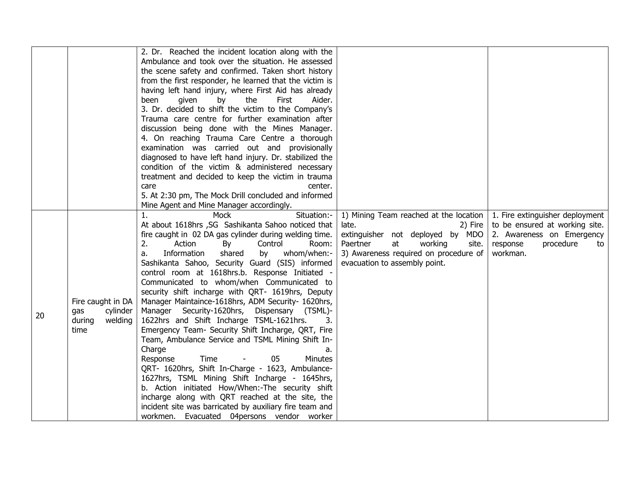|    |                   | 2. Dr. Reached the incident location along with the<br>Ambulance and took over the situation. He assessed |                                        |                                 |
|----|-------------------|-----------------------------------------------------------------------------------------------------------|----------------------------------------|---------------------------------|
|    |                   | the scene safety and confirmed. Taken short history                                                       |                                        |                                 |
|    |                   | from the first responder, he learned that the victim is                                                   |                                        |                                 |
|    |                   | having left hand injury, where First Aid has already                                                      |                                        |                                 |
|    |                   | the<br>First<br>been<br>given<br>by<br>Aider.                                                             |                                        |                                 |
|    |                   | 3. Dr. decided to shift the victim to the Company's                                                       |                                        |                                 |
|    |                   | Trauma care centre for further examination after                                                          |                                        |                                 |
|    |                   | discussion being done with the Mines Manager.                                                             |                                        |                                 |
|    |                   | 4. On reaching Trauma Care Centre a thorough                                                              |                                        |                                 |
|    |                   | examination was carried out and provisionally                                                             |                                        |                                 |
|    |                   | diagnosed to have left hand injury. Dr. stabilized the                                                    |                                        |                                 |
|    |                   | condition of the victim & administered necessary<br>treatment and decided to keep the victim in trauma    |                                        |                                 |
|    |                   | center.<br>care                                                                                           |                                        |                                 |
|    |                   | 5. At 2:30 pm, The Mock Drill concluded and informed                                                      |                                        |                                 |
|    |                   | Mine Agent and Mine Manager accordingly.                                                                  |                                        |                                 |
|    |                   | Mock<br>Situation:-<br>1.                                                                                 | 1) Mining Team reached at the location | 1. Fire extinguisher deployment |
|    |                   | At about 1618hrs , SG Sashikanta Sahoo noticed that                                                       | late.<br>2) Fire                       | to be ensured at working site.  |
|    |                   | fire caught in 02 DA gas cylinder during welding time.                                                    | extinguisher not deployed by MDO       | 2. Awareness on Emergency       |
|    |                   | 2.<br>Action<br>Control<br>Room:<br>By                                                                    | Paertner<br>working<br>at<br>site.     | procedure<br>response<br>to     |
|    |                   | Information<br>shared<br>whom/when:-<br>by<br>a.                                                          | 3) Awareness required on procedure of  | workman.                        |
|    |                   | Sashikanta Sahoo, Security Guard (SIS) informed                                                           | evacuation to assembly point.          |                                 |
|    |                   | control room at 1618hrs.b. Response Initiated -                                                           |                                        |                                 |
|    |                   | Communicated to whom/when Communicated to                                                                 |                                        |                                 |
|    | Fire caught in DA | security shift incharge with QRT- 1619hrs, Deputy<br>Manager Maintaince-1618hrs, ADM Security- 1620hrs,   |                                        |                                 |
|    | cylinder<br>gas   | Manager Security-1620hrs,<br>Dispensary (TSML)-                                                           |                                        |                                 |
| 20 | welding<br>during | 1622hrs and Shift Incharge TSML-1621hrs.<br>3.                                                            |                                        |                                 |
|    | time              | Emergency Team- Security Shift Incharge, QRT, Fire                                                        |                                        |                                 |
|    |                   | Team, Ambulance Service and TSML Mining Shift In-                                                         |                                        |                                 |
|    |                   | Charge<br>a.                                                                                              |                                        |                                 |
|    |                   | Time<br>05<br>Response<br><b>Minutes</b>                                                                  |                                        |                                 |
|    |                   | QRT- 1620hrs, Shift In-Charge - 1623, Ambulance-                                                          |                                        |                                 |
|    |                   | 1627hrs, TSML Mining Shift Incharge - 1645hrs,                                                            |                                        |                                 |
|    |                   | b. Action initiated How/When:-The security shift                                                          |                                        |                                 |
|    |                   | incharge along with QRT reached at the site, the                                                          |                                        |                                 |
|    |                   | incident site was barricated by auxiliary fire team and                                                   |                                        |                                 |
|    |                   | workmen. Evacuated 04 persons vendor worker                                                               |                                        |                                 |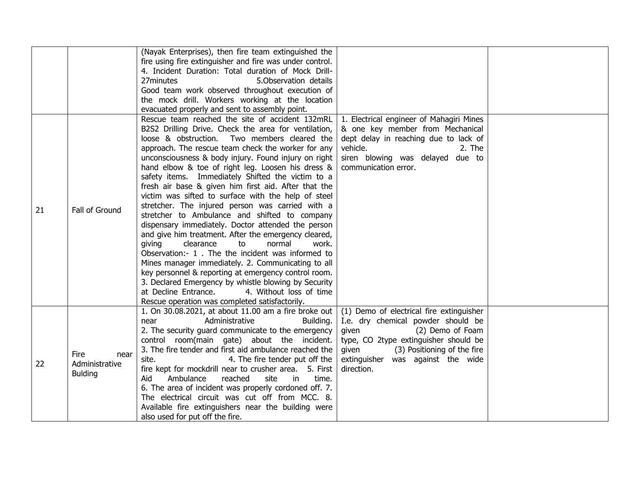|    |                | (Nayak Enterprises), then fire team extinguished the     |                                          |  |
|----|----------------|----------------------------------------------------------|------------------------------------------|--|
|    |                | fire using fire extinguisher and fire was under control. |                                          |  |
|    |                | 4. Incident Duration: Total duration of Mock Drill-      |                                          |  |
|    |                | 27minutes<br>5. Observation details                      |                                          |  |
|    |                | Good team work observed throughout execution of          |                                          |  |
|    |                | the mock drill. Workers working at the location          |                                          |  |
|    |                | evacuated properly and sent to assembly point.           |                                          |  |
|    |                | Rescue team reached the site of accident 132mRL          | 1. Electrical engineer of Mahagiri Mines |  |
|    |                | B2S2 Drilling Drive. Check the area for ventilation,     | & one key member from Mechanical         |  |
|    |                | loose & obstruction.<br>Two members cleared the          | dept delay in reaching due to lack of    |  |
|    |                | approach. The rescue team check the worker for any       | vehicle.<br>2. The                       |  |
|    |                | unconsciousness & body injury. Found injury on right     | siren blowing was delayed due to         |  |
|    |                | hand elbow & toe of right leg. Loosen his dress &        | communication error.                     |  |
|    |                | safety items. Immediately Shifted the victim to a        |                                          |  |
|    |                | fresh air base & given him first aid. After that the     |                                          |  |
|    |                | victim was sifted to surface with the help of steel      |                                          |  |
|    |                | stretcher. The injured person was carried with a         |                                          |  |
| 21 | Fall of Ground | stretcher to Ambulance and shifted to company            |                                          |  |
|    |                | dispensary immediately. Doctor attended the person       |                                          |  |
|    |                | and give him treatment. After the emergency cleared,     |                                          |  |
|    |                | clearance<br>normal<br>giving<br>to<br>work.             |                                          |  |
|    |                | Observation:- 1. The the incident was informed to        |                                          |  |
|    |                | Mines manager immediately. 2. Communicating to all       |                                          |  |
|    |                | key personnel & reporting at emergency control room.     |                                          |  |
|    |                | 3. Declared Emergency by whistle blowing by Security     |                                          |  |
|    |                | at Decline Entrance.<br>4. Without loss of time          |                                          |  |
|    |                | Rescue operation was completed satisfactorily.           |                                          |  |
|    |                | 1. On 30.08.2021, at about 11.00 am a fire broke out     | (1) Demo of electrical fire extinguisher |  |
|    |                | Administrative<br>Building.<br>near                      | I.e. dry chemical powder should be       |  |
|    |                | 2. The security guard communicate to the emergency       | given<br>(2) Demo of Foam                |  |
|    |                | control room(main gate) about the incident.              | type, CO 2type extinguisher should be    |  |
|    |                | 3. The fire tender and first aid ambulance reached the   | (3) Positioning of the fire<br>given     |  |
|    | Fire<br>near   | 4. The fire tender put off the<br>site.                  | extinguisher was against the wide        |  |
| 22 | Administrative | fire kept for mockdrill near to crusher area. 5. First   | direction.                               |  |
|    | <b>Bulding</b> | reached<br>Aid<br>Ambulance<br>site<br>time.<br>in.      |                                          |  |
|    |                | 6. The area of incident was properly cordoned off. 7.    |                                          |  |
|    |                | The electrical circuit was cut off from MCC. 8.          |                                          |  |
|    |                | Available fire extinguishers near the building were      |                                          |  |
|    |                | also used for put off the fire.                          |                                          |  |
|    |                |                                                          |                                          |  |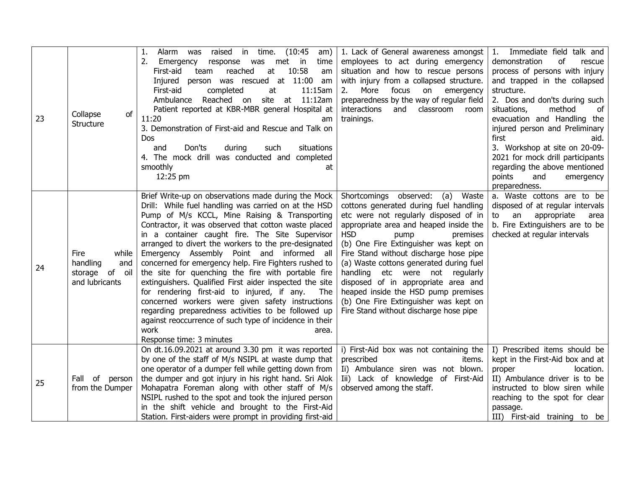| 23 | Collapse<br>of<br>Structure                                             | Alarm was raised in time. (10:45<br>1.<br>am)<br>2.<br>Emergency<br>response was met in<br>time<br>reached<br>10:58<br>First-aid<br>at<br>team<br>am<br>Injured person was rescued at 11:00 am<br>First-aid<br>11:15am<br>completed<br>at<br>Ambulance Reached on site at 11:12am<br>Patient reported at KBR-MBR general Hospital at<br>11:20<br>am<br>3. Demonstration of First-aid and Rescue and Talk on<br>Dos<br>Don'ts<br>during<br>such<br>situations<br>and<br>4. The mock drill was conducted and completed<br>smoothly<br>at<br>12:25 pm                                                                                                                                                                                                                                                                              | 1. Lack of General awareness amongst<br>employees to act during emergency<br>situation and how to rescue persons<br>with injury from a collapsed structure.<br>2.<br>More<br>focus<br>on<br>emergency<br>preparedness by the way of regular field<br>interactions<br>and<br>classroom room<br>trainings.                                                                                                                                                                                                                          | Immediate field talk and<br>1.<br>demonstration<br>of<br>rescue<br>process of persons with injury<br>and trapped in the collapsed<br>structure.<br>2. Dos and don'ts during such<br>situations,<br>method<br>of<br>evacuation and Handling the<br>injured person and Preliminary<br>first<br>aid.<br>3. Workshop at site on 20-09-<br>2021 for mock drill participants<br>regarding the above mentioned<br>points<br>and<br>emergency<br>preparedness. |
|----|-------------------------------------------------------------------------|---------------------------------------------------------------------------------------------------------------------------------------------------------------------------------------------------------------------------------------------------------------------------------------------------------------------------------------------------------------------------------------------------------------------------------------------------------------------------------------------------------------------------------------------------------------------------------------------------------------------------------------------------------------------------------------------------------------------------------------------------------------------------------------------------------------------------------|-----------------------------------------------------------------------------------------------------------------------------------------------------------------------------------------------------------------------------------------------------------------------------------------------------------------------------------------------------------------------------------------------------------------------------------------------------------------------------------------------------------------------------------|--------------------------------------------------------------------------------------------------------------------------------------------------------------------------------------------------------------------------------------------------------------------------------------------------------------------------------------------------------------------------------------------------------------------------------------------------------|
| 24 | Fire<br>while<br>handling<br>and<br>storage<br>of oil<br>and lubricants | Brief Write-up on observations made during the Mock<br>Drill: While fuel handling was carried on at the HSD<br>Pump of M/s KCCL, Mine Raising & Transporting<br>Contractor, it was observed that cotton waste placed<br>in a container caught fire. The Site Supervisor<br>arranged to divert the workers to the pre-designated<br>Emergency Assembly Point and informed all<br>concerned for emergency help. Fire Fighters rushed to<br>the site for quenching the fire with portable fire<br>extinguishers. Qualified First aider inspected the site<br>for rendering first-aid to injured, if any.<br>The<br>concerned workers were given safety instructions<br>regarding preparedness activities to be followed up<br>against reoccurrence of such type of incidence in their<br>work<br>area.<br>Response time: 3 minutes | Shortcomings observed: (a) Waste<br>cottons generated during fuel handling<br>etc were not regularly disposed of in<br>appropriate area and heaped inside the<br><b>HSD</b><br>pump<br>premises<br>(b) One Fire Extinguisher was kept on<br>Fire Stand without discharge hose pipe<br>(a) Waste cottons generated during fuel<br>handling etc were not regularly<br>disposed of in appropriate area and<br>heaped inside the HSD pump premises<br>(b) One Fire Extinguisher was kept on<br>Fire Stand without discharge hose pipe | a. Waste cottons are to be<br>disposed of at regular intervals<br>to an<br>appropriate<br>area<br>b. Fire Extinguishers are to be<br>checked at regular intervals                                                                                                                                                                                                                                                                                      |
| 25 | Fall of<br>person<br>from the Dumper                                    | On dt.16.09.2021 at around 3.30 pm it was reported<br>by one of the staff of M/s NSIPL at waste dump that<br>one operator of a dumper fell while getting down from<br>the dumper and got injury in his right hand. Sri Alok<br>Mohapatra Foreman along with other staff of M/s<br>NSIPL rushed to the spot and took the injured person<br>in the shift vehicle and brought to the First-Aid<br>Station. First-aiders were prompt in providing first-aid                                                                                                                                                                                                                                                                                                                                                                         | i) First-Aid box was not containing the<br>prescribed<br>items.<br>Ii) Ambulance siren was not blown.<br>Iii) Lack of knowledge of First-Aid<br>observed among the staff.                                                                                                                                                                                                                                                                                                                                                         | I) Prescribed items should be<br>kept in the First-Aid box and at<br>location.<br>proper<br>II) Ambulance driver is to be<br>instructed to blow siren while<br>reaching to the spot for clear<br>passage.<br>III) First-aid training to be                                                                                                                                                                                                             |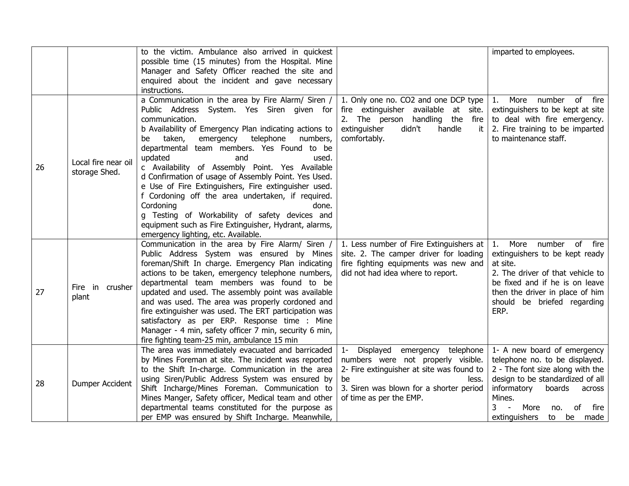|    |                                      | to the victim. Ambulance also arrived in quickest<br>possible time (15 minutes) from the Hospital. Mine<br>Manager and Safety Officer reached the site and                                                                                                                                                                                                                                                                                                                                                                                                                                                                                                                                                  |                                                                                                                                                                                                                      | imparted to employees.                                                                                                                                                                                                                                                        |
|----|--------------------------------------|-------------------------------------------------------------------------------------------------------------------------------------------------------------------------------------------------------------------------------------------------------------------------------------------------------------------------------------------------------------------------------------------------------------------------------------------------------------------------------------------------------------------------------------------------------------------------------------------------------------------------------------------------------------------------------------------------------------|----------------------------------------------------------------------------------------------------------------------------------------------------------------------------------------------------------------------|-------------------------------------------------------------------------------------------------------------------------------------------------------------------------------------------------------------------------------------------------------------------------------|
|    |                                      | enquired about the incident and gave necessary<br>instructions.                                                                                                                                                                                                                                                                                                                                                                                                                                                                                                                                                                                                                                             |                                                                                                                                                                                                                      |                                                                                                                                                                                                                                                                               |
| 26 | Local fire near oil<br>storage Shed. | a Communication in the area by Fire Alarm/ Siren /<br>Public Address System. Yes Siren given for<br>communication.<br>b Availability of Emergency Plan indicating actions to<br>telephone<br>numbers,<br>taken,<br>emergency<br>be<br>departmental team members. Yes Found to be<br>updated<br>and<br>used.<br>c Availability of Assembly Point. Yes Available<br>d Confirmation of usage of Assembly Point. Yes Used.<br>e Use of Fire Extinguishers, Fire extinguisher used.<br>f Cordoning off the area undertaken, if required.<br>Cordoning<br>done.<br>g Testing of Workability of safety devices and<br>equipment such as Fire Extinguisher, Hydrant, alarms,<br>emergency lighting, etc. Available. | 1. Only one no. CO2 and one DCP type<br>fire extinguisher available at site.<br>2. The person handling the<br>fire<br>extinguisher<br>didn't<br>handle<br>it<br>comfortably.                                         | number of fire<br>More<br>1.<br>extinguishers to be kept at site<br>to deal with fire emergency.<br>2. Fire training to be imparted<br>to maintenance staff.                                                                                                                  |
| 27 | Fire in crusher<br>plant             | Communication in the area by Fire Alarm/ Siren /<br>Public Address System was ensured by Mines<br>foreman/Shift In charge. Emergency Plan indicating<br>actions to be taken, emergency telephone numbers,<br>departmental team members was found to be<br>updated and used. The assembly point was available<br>and was used. The area was properly cordoned and<br>fire extinguisher was used. The ERT participation was<br>satisfactory as per ERP. Response time : Mine<br>Manager - 4 min, safety officer 7 min, security 6 min,<br>fire fighting team-25 min, ambulance 15 min                                                                                                                         | 1. Less number of Fire Extinguishers at<br>site. 2. The camper driver for loading<br>fire fighting equipments was new and<br>did not had idea where to report.                                                       | More number of fire<br>1.<br>extinguishers to be kept ready<br>at site.<br>2. The driver of that vehicle to<br>be fixed and if he is on leave<br>then the driver in place of him<br>should be briefed regarding<br>ERP.                                                       |
| 28 | Dumper Accident                      | The area was immediately evacuated and barricaded<br>by Mines Foreman at site. The incident was reported<br>to the Shift In-charge. Communication in the area<br>using Siren/Public Address System was ensured by<br>Shift Incharge/Mines Foreman. Communication to<br>Mines Manger, Safety officer, Medical team and other<br>departmental teams constituted for the purpose as<br>per EMP was ensured by Shift Incharge. Meanwhile,                                                                                                                                                                                                                                                                       | Displayed<br>emergency<br>telephone<br>$1 -$<br>numbers were not properly visible.<br>2- Fire extinguisher at site was found to<br>be<br>less.<br>3. Siren was blown for a shorter period<br>of time as per the EMP. | 1- A new board of emergency<br>telephone no. to be displayed.<br>2 - The font size along with the<br>design to be standardized of all<br>informatory<br>boards<br>across<br>Mines.<br>$\overline{3}$<br>$\sim$<br>More<br>of<br>fire<br>no.<br>extinguishers<br>to<br>be made |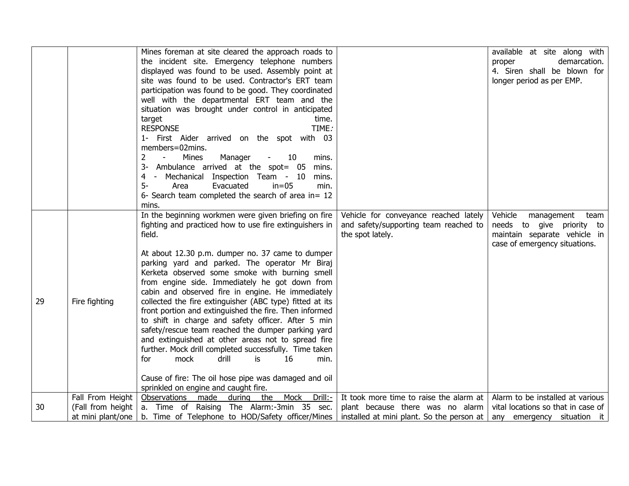|    |                  | Mines foreman at site cleared the approach roads to                        |                                           | available at site along with       |
|----|------------------|----------------------------------------------------------------------------|-------------------------------------------|------------------------------------|
|    |                  | the incident site. Emergency telephone numbers                             |                                           | demarcation.<br>proper             |
|    |                  | displayed was found to be used. Assembly point at                          |                                           | 4. Siren shall be blown for        |
|    |                  | site was found to be used. Contractor's ERT team                           |                                           | longer period as per EMP.          |
|    |                  | participation was found to be good. They coordinated                       |                                           |                                    |
|    |                  | well with the departmental ERT team and the                                |                                           |                                    |
|    |                  | situation was brought under control in anticipated                         |                                           |                                    |
|    |                  | target<br>time.                                                            |                                           |                                    |
|    |                  | <b>RESPONSE</b><br>TIME:                                                   |                                           |                                    |
|    |                  | 1- First Aider arrived on the spot with 03                                 |                                           |                                    |
|    |                  | members=02mins.                                                            |                                           |                                    |
|    |                  | Mines<br>Manager<br>10<br>2<br>mins.                                       |                                           |                                    |
|    |                  | Ambulance arrived at the spot= 05<br>mins.                                 |                                           |                                    |
|    |                  | Mechanical Inspection Team - 10<br>4<br>mins.<br>$\sim$                    |                                           |                                    |
|    |                  | $5-$<br>Area<br>Evacuated<br>$in=05$<br>min.                               |                                           |                                    |
|    |                  | 6- Search team completed the search of area in= 12                         |                                           |                                    |
|    |                  | mins.                                                                      |                                           |                                    |
|    |                  | In the beginning workmen were given briefing on fire                       | Vehicle for conveyance reached lately     | Vehicle<br>management<br>team      |
|    |                  | fighting and practiced how to use fire extinguishers in                    | and safety/supporting team reached to     | needs to give priority to          |
|    |                  | field.                                                                     | the spot lately.                          | maintain separate vehicle in       |
|    |                  |                                                                            |                                           | case of emergency situations.      |
|    |                  | At about 12.30 p.m. dumper no. 37 came to dumper                           |                                           |                                    |
|    |                  | parking yard and parked. The operator Mr Biraj                             |                                           |                                    |
|    |                  | Kerketa observed some smoke with burning smell                             |                                           |                                    |
|    |                  | from engine side. Immediately he got down from                             |                                           |                                    |
|    |                  | cabin and observed fire in engine. He immediately                          |                                           |                                    |
| 29 | Fire fighting    | collected the fire extinguisher (ABC type) fitted at its                   |                                           |                                    |
|    |                  | front portion and extinguished the fire. Then informed                     |                                           |                                    |
|    |                  | to shift in charge and safety officer. After 5 min                         |                                           |                                    |
|    |                  | safety/rescue team reached the dumper parking yard                         |                                           |                                    |
|    |                  | and extinguished at other areas not to spread fire                         |                                           |                                    |
|    |                  | further. Mock drill completed successfully. Time taken                     |                                           |                                    |
|    |                  | mock<br>drill<br>is<br>16<br>for<br>min.                                   |                                           |                                    |
|    |                  | Cause of fire: The oil hose pipe was damaged and oil                       |                                           |                                    |
|    |                  | sprinkled on engine and caught fire.                                       |                                           |                                    |
|    | Fall From Height | Observations made<br>the<br>Mock<br>Drill:-<br>during                      | It took more time to raise the alarm at   | Alarm to be installed at various   |
| 30 |                  | (Fall from height   a. Time of Raising The Alarm:-3min 35 sec.             | plant because there was no alarm          | vital locations so that in case of |
|    |                  | at mini plant/one $\vert$ b. Time of Telephone to HOD/Safety officer/Mines |                                           |                                    |
|    |                  |                                                                            | installed at mini plant. So the person at | any emergency situation it         |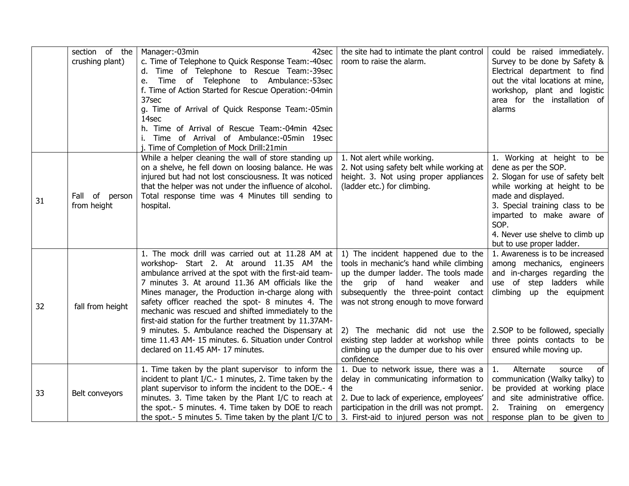|    | section of the<br>crushing plant) | Manager: -03min<br>42sec<br>c. Time of Telephone to Quick Response Team:-40sec<br>Time of Telephone to Rescue Team:-39sec<br>Time of Telephone to Ambulance:-53sec<br>e.<br>f. Time of Action Started for Rescue Operation: - 04min<br>37sec<br>g. Time of Arrival of Quick Response Team:-05min                                                                                                                                                                                                                                                                                              | the site had to intimate the plant control<br>room to raise the alarm.                                                                                                                                                                                                                                                                                                         | could be raised immediately.<br>Survey to be done by Safety &<br>Electrical department to find<br>out the vital locations at mine,<br>workshop, plant and logistic<br>area for the installation of<br>alarms                                                                           |
|----|-----------------------------------|-----------------------------------------------------------------------------------------------------------------------------------------------------------------------------------------------------------------------------------------------------------------------------------------------------------------------------------------------------------------------------------------------------------------------------------------------------------------------------------------------------------------------------------------------------------------------------------------------|--------------------------------------------------------------------------------------------------------------------------------------------------------------------------------------------------------------------------------------------------------------------------------------------------------------------------------------------------------------------------------|----------------------------------------------------------------------------------------------------------------------------------------------------------------------------------------------------------------------------------------------------------------------------------------|
|    |                                   | 14sec<br>h. Time of Arrival of Rescue Team:-04min 42sec<br>Time of Arrival of Ambulance:-05min 19sec<br>Time of Completion of Mock Drill:21min                                                                                                                                                                                                                                                                                                                                                                                                                                                |                                                                                                                                                                                                                                                                                                                                                                                |                                                                                                                                                                                                                                                                                        |
| 31 | Fall of person<br>from height     | While a helper cleaning the wall of store standing up<br>on a shelve, he fell down on loosing balance. He was<br>injured but had not lost consciousness. It was noticed<br>that the helper was not under the influence of alcohol.<br>Total response time was 4 Minutes till sending to<br>hospital.                                                                                                                                                                                                                                                                                          | 1. Not alert while working.<br>2. Not using safety belt while working at<br>height. 3. Not using proper appliances<br>(ladder etc.) for climbing.                                                                                                                                                                                                                              | 1. Working at height to be<br>dene as per the SOP.<br>2. Slogan for use of safety belt<br>while working at height to be<br>made and displayed.<br>3. Special training class to be<br>imparted to make aware of<br>SOP.<br>4. Never use shelve to climb up<br>but to use proper ladder. |
| 32 | fall from height                  | 1. The mock drill was carried out at 11.28 AM at<br>workshop- Start 2. At around 11.35 AM the<br>ambulance arrived at the spot with the first-aid team-<br>7 minutes 3. At around 11.36 AM officials like the<br>Mines manager, the Production in-charge along with<br>safety officer reached the spot- 8 minutes 4. The<br>mechanic was rescued and shifted immediately to the<br>first-aid station for the further treatment by 11.37AM-<br>9 minutes. 5. Ambulance reached the Dispensary at<br>time 11.43 AM- 15 minutes. 6. Situation under Control<br>declared on 11.45 AM- 17 minutes. | 1) The incident happened due to the<br>tools in mechanic's hand while climbing<br>up the dumper ladder. The tools made<br>the grip of hand weaker<br>and<br>subsequently the three-point contact<br>was not strong enough to move forward<br>2) The mechanic did not use the<br>existing step ladder at workshop while<br>climbing up the dumper due to his over<br>confidence | 1. Awareness is to be increased<br>among mechanics, engineers<br>and in-charges regarding the<br>use of step ladders while<br>climbing up the equipment<br>2.SOP to be followed, specially<br>three points contacts to be<br>ensured while moving up.                                  |
| 33 | Belt conveyors                    | 1. Time taken by the plant supervisor to inform the<br>incident to plant I/C .- 1 minutes, 2. Time taken by the<br>plant supervisor to inform the incident to the DOE.- 4<br>minutes. 3. Time taken by the Plant I/C to reach at<br>the spot.- 5 minutes. 4. Time taken by DOE to reach<br>the spot. - 5 minutes 5. Time taken by the plant I/C to                                                                                                                                                                                                                                            | 1. Due to network issue, there was a<br>delay in communicating information to<br>the<br>senior.<br>2. Due to lack of experience, employees'<br>participation in the drill was not prompt.<br>3. First-aid to injured person was not                                                                                                                                            | 1.<br>Alternate<br>of<br>source<br>communication (Walky talky) to<br>be provided at working place<br>and site administrative office.<br>2. Training on emergency<br>response plan to be given to                                                                                       |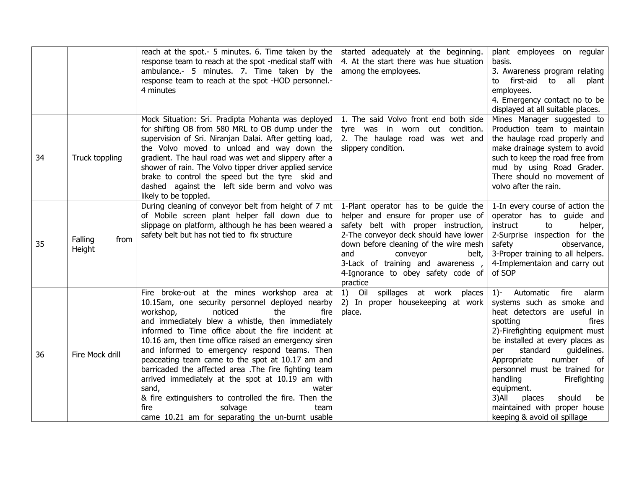|    |                           | reach at the spot.- 5 minutes. 6. Time taken by the<br>response team to reach at the spot -medical staff with<br>ambulance.- 5 minutes. 7. Time taken by the<br>response team to reach at the spot -HOD personnel.-<br>4 minutes                                                                                                                                                                                                                                                                                                                                                                                                                                                    | started adequately at the beginning.<br>4. At the start there was hue situation<br>among the employees.                                                                                                                                                                                                                  | plant employees on regular<br>basis.<br>3. Awareness program relating<br>first-aid to all plant<br>to<br>employees.<br>4. Emergency contact no to be<br>displayed at all suitable places.                                                                                                                                                                                                                                                  |
|----|---------------------------|-------------------------------------------------------------------------------------------------------------------------------------------------------------------------------------------------------------------------------------------------------------------------------------------------------------------------------------------------------------------------------------------------------------------------------------------------------------------------------------------------------------------------------------------------------------------------------------------------------------------------------------------------------------------------------------|--------------------------------------------------------------------------------------------------------------------------------------------------------------------------------------------------------------------------------------------------------------------------------------------------------------------------|--------------------------------------------------------------------------------------------------------------------------------------------------------------------------------------------------------------------------------------------------------------------------------------------------------------------------------------------------------------------------------------------------------------------------------------------|
| 34 | Truck toppling            | Mock Situation: Sri. Pradipta Mohanta was deployed<br>for shifting OB from 580 MRL to OB dump under the<br>supervision of Sri. Niranjan Dalai. After getting load,<br>the Volvo moved to unload and way down the<br>gradient. The haul road was wet and slippery after a<br>shower of rain. The Volvo tipper driver applied service<br>brake to control the speed but the tyre skid and<br>dashed against the left side berm and volvo was<br>likely to be toppled.                                                                                                                                                                                                                 | 1. The said Volvo front end both side<br>tyre was in worn out condition.<br>2. The haulage road was wet and<br>slippery condition.                                                                                                                                                                                       | Mines Manager suggested to<br>Production team to maintain<br>the haulage road properly and<br>make drainage system to avoid<br>such to keep the road free from<br>mud by using Road Grader.<br>There should no movement of<br>volvo after the rain.                                                                                                                                                                                        |
| 35 | Falling<br>from<br>Height | During cleaning of conveyor belt from height of 7 mt<br>of Mobile screen plant helper fall down due to<br>slippage on platform, although he has been weared a<br>safety belt but has not tied to fix structure                                                                                                                                                                                                                                                                                                                                                                                                                                                                      | 1-Plant operator has to be guide the<br>helper and ensure for proper use of<br>safety belt with proper instruction,<br>2-The conveyor deck should have lower<br>down before cleaning of the wire mesh<br>and<br>conveyor<br>belt,<br>3-Lack of training and awareness,<br>4-Ignorance to obey safety code of<br>practice | 1-In every course of action the<br>operator has to guide and<br>instruct<br>to<br>helper,<br>2-Surprise inspection for the<br>safety<br>observance,<br>3-Proper training to all helpers.<br>4-Implementaion and carry out<br>of SOP                                                                                                                                                                                                        |
| 36 | Fire Mock drill           | Fire broke-out at the mines workshop area at<br>10.15am, one security personnel deployed nearby<br>workshop,<br>noticed<br>the<br>fire<br>and immediately blew a whistle, then immediately<br>informed to Time office about the fire incident at<br>10.16 am, then time office raised an emergency siren<br>and informed to emergency respond teams. Then<br>peaceating team came to the spot at 10.17 am and<br>barricaded the affected area .The fire fighting team<br>arrived immediately at the spot at 10.19 am with<br>sand,<br>water<br>& fire extinguishers to controlled the fire. Then the<br>fire<br>solvage<br>team<br>came 10.21 am for separating the un-burnt usable | Oil spillages at work places<br>1)<br>2) In proper housekeeping at work<br>place.                                                                                                                                                                                                                                        | fire<br>Automatic<br>$1$ )-<br>alarm<br>systems such as smoke and<br>heat detectors are useful in<br>spotting<br>fires<br>2)-Firefighting equipment must<br>be installed at every places as<br>standard<br>guidelines.<br>per<br>Appropriate<br>number<br>of<br>personnel must be trained for<br>handling<br>Firefighting<br>equipment.<br>3)All<br>places<br>should<br>be<br>maintained with proper house<br>keeping & avoid oil spillage |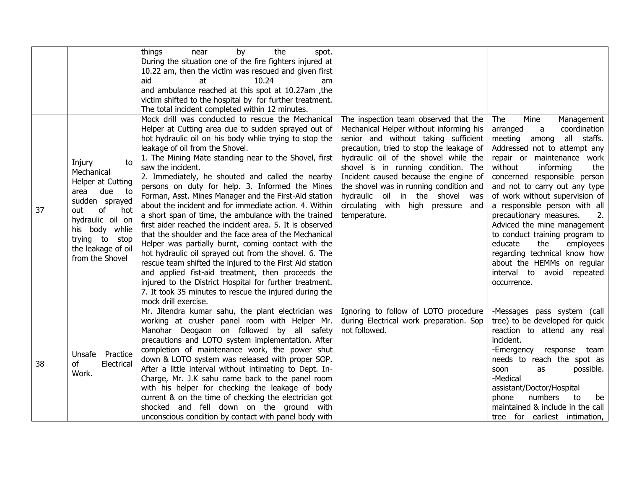|    |                                                                                                                                                                                                                   | things<br>by<br>the<br>near<br>spot.<br>During the situation one of the fire fighters injured at<br>10.22 am, then the victim was rescued and given first<br>aid<br>at<br>10.24<br>am<br>and ambulance reached at this spot at 10.27am, the<br>victim shifted to the hospital by for further treatment.<br>The total incident completed within 12 minutes.                                                                                                                                                                                                                                                                                                                                                                                                                                                                                                                                                                                                                                                                                                               |                                                                                                                                                                                                                                                                                                                                                                                                                                   |                                                                                                                                                                                                                                                                                                                                                                                                                                                                                                                                                                         |
|----|-------------------------------------------------------------------------------------------------------------------------------------------------------------------------------------------------------------------|--------------------------------------------------------------------------------------------------------------------------------------------------------------------------------------------------------------------------------------------------------------------------------------------------------------------------------------------------------------------------------------------------------------------------------------------------------------------------------------------------------------------------------------------------------------------------------------------------------------------------------------------------------------------------------------------------------------------------------------------------------------------------------------------------------------------------------------------------------------------------------------------------------------------------------------------------------------------------------------------------------------------------------------------------------------------------|-----------------------------------------------------------------------------------------------------------------------------------------------------------------------------------------------------------------------------------------------------------------------------------------------------------------------------------------------------------------------------------------------------------------------------------|-------------------------------------------------------------------------------------------------------------------------------------------------------------------------------------------------------------------------------------------------------------------------------------------------------------------------------------------------------------------------------------------------------------------------------------------------------------------------------------------------------------------------------------------------------------------------|
| 37 | Injury<br>to<br>Mechanical<br>Helper at Cutting<br>due<br>area<br>to<br>sudden sprayed<br>of<br>out<br>hot<br>hydraulic oil on<br>whlie<br>his body<br>trying to<br>stop<br>the leakage of oil<br>from the Shovel | Mock drill was conducted to rescue the Mechanical<br>Helper at Cutting area due to sudden sprayed out of<br>hot hydraulic oil on his body whlie trying to stop the<br>leakage of oil from the Shovel.<br>1. The Mining Mate standing near to the Shovel, first<br>saw the incident.<br>2. Immediately, he shouted and called the nearby<br>persons on duty for help. 3. Informed the Mines<br>Forman, Asst. Mines Manager and the First-Aid station<br>about the incident and for immediate action. 4. Within<br>a short span of time, the ambulance with the trained<br>first aider reached the incident area. 5. It is observed<br>that the shoulder and the face area of the Mechanical<br>Helper was partially burnt, coming contact with the<br>hot hydraulic oil sprayed out from the shovel. 6. The<br>rescue team shifted the injured to the First Aid station<br>and applied fist-aid treatment, then proceeds the<br>injured to the District Hospital for further treatment.<br>7. It took 35 minutes to rescue the injured during the<br>mock drill exercise. | The inspection team observed that the<br>Mechanical Helper without informing his<br>senior and without taking sufficient<br>precaution, tried to stop the leakage of<br>hydraulic oil of the shovel while the<br>shovel is in running condition. The<br>Incident caused because the engine of<br>the shovel was in running condition and<br>hydraulic oil in the shovel was<br>circulating with high pressure and<br>temperature. | The<br>Mine<br>Management<br>coordination<br>arranged<br>a<br>among all staffs.<br>meeting<br>Addressed not to attempt any<br>repair or maintenance work<br>without<br>informing<br>the<br>concerned responsible person<br>and not to carry out any type<br>of work without supervision of<br>a responsible person with all<br>precautionary measures.<br>2.<br>Adviced the mine management<br>to conduct training program to<br>educate<br>the<br>employees<br>regarding technical know how<br>about the HEMMs on regular<br>interval to avoid repeated<br>occurrence. |
| 38 | Unsafe<br>Practice<br>Electrical<br>of<br>Work.                                                                                                                                                                   | Mr. Jitendra kumar sahu, the plant electrician was<br>working at crusher panel room with Helper Mr.<br>Manohar Deogaon on followed by all safety<br>precautions and LOTO system implementation. After<br>completion of maintenance work, the power shut<br>down & LOTO system was released with proper SOP.<br>After a little interval without intimating to Dept. In-<br>Charge, Mr. J.K sahu came back to the panel room<br>with his helper for checking the leakage of body<br>current & on the time of checking the electrician got<br>shocked and fell down on the ground with<br>unconscious condition by contact with panel body with                                                                                                                                                                                                                                                                                                                                                                                                                             | Ignoring to follow of LOTO procedure<br>during Electrical work preparation. Sop<br>not followed.                                                                                                                                                                                                                                                                                                                                  | -Messages pass system (call<br>tree) to be developed for quick<br>reaction to attend any real<br>incident.<br>-Emergency response team<br>needs to reach the spot as<br>possible.<br>soon<br>as<br>-Medical<br>assistant/Doctor/Hospital<br>numbers<br>phone<br>to<br>be<br>maintained & include in the call<br>tree for earliest intimation,                                                                                                                                                                                                                           |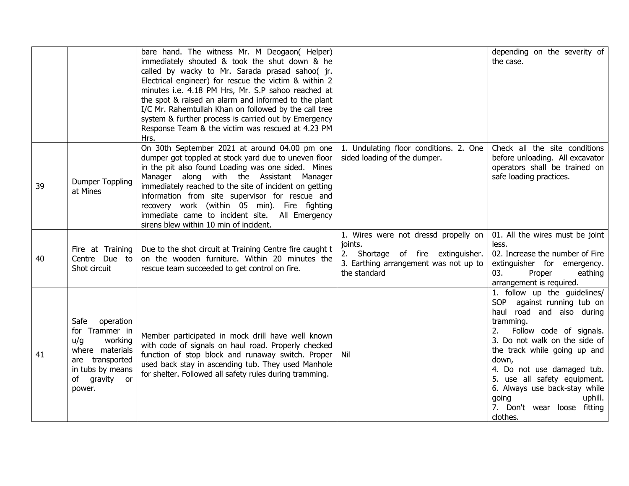|    |                                                                                                                                               | bare hand. The witness Mr. M Deogaon( Helper)<br>immediately shouted & took the shut down & he<br>called by wacky to Mr. Sarada prasad sahoo( jr.<br>Electrical engineer) for rescue the victim & within 2<br>minutes i.e. 4.18 PM Hrs, Mr. S.P sahoo reached at<br>the spot & raised an alarm and informed to the plant<br>I/C Mr. Rahemtullah Khan on followed by the call tree<br>system & further process is carried out by Emergency<br>Response Team & the victim was rescued at 4.23 PM<br>Hrs. |                                                                                                                                               | depending on the severity of<br>the case.                                                                                                                                                                                                                                                                                                                                                  |
|----|-----------------------------------------------------------------------------------------------------------------------------------------------|--------------------------------------------------------------------------------------------------------------------------------------------------------------------------------------------------------------------------------------------------------------------------------------------------------------------------------------------------------------------------------------------------------------------------------------------------------------------------------------------------------|-----------------------------------------------------------------------------------------------------------------------------------------------|--------------------------------------------------------------------------------------------------------------------------------------------------------------------------------------------------------------------------------------------------------------------------------------------------------------------------------------------------------------------------------------------|
| 39 | <b>Dumper Toppling</b><br>at Mines                                                                                                            | On 30th September 2021 at around 04.00 pm one<br>dumper got toppled at stock yard due to uneven floor<br>in the pit also found Loading was one sided. Mines<br>Manager along with the Assistant Manager<br>immediately reached to the site of incident on getting<br>information from site supervisor for rescue and<br>recovery work (within 05 min). Fire fighting<br>immediate came to incident site. All Emergency<br>sirens blew within 10 min of incident.                                       | 1. Undulating floor conditions. 2. One<br>sided loading of the dumper.                                                                        | Check all the site conditions<br>before unloading. All excavator<br>operators shall be trained on<br>safe loading practices.                                                                                                                                                                                                                                                               |
| 40 | Fire at Training<br>Centre Due to<br>Shot circuit                                                                                             | Due to the shot circuit at Training Centre fire caught t<br>on the wooden furniture. Within 20 minutes the<br>rescue team succeeded to get control on fire.                                                                                                                                                                                                                                                                                                                                            | 1. Wires were not dressd propelly on<br>joints.<br>2. Shortage of fire extinguisher.<br>3. Earthing arrangement was not up to<br>the standard | 01. All the wires must be joint<br>less.<br>02. Increase the number of Fire<br>extinguisher for emergency.<br>Proper<br>eathing<br>03.<br>arrangement is required.                                                                                                                                                                                                                         |
| 41 | Safe<br>operation<br>for Trammer in<br>working<br>u/g<br>where materials<br>are transported<br>in tubs by means<br>of gravity<br>or<br>power. | Member participated in mock drill have well known<br>with code of signals on haul road. Properly checked<br>function of stop block and runaway switch. Proper<br>used back stay in ascending tub. They used Manhole<br>for shelter. Followed all safety rules during tramming.                                                                                                                                                                                                                         | Nil                                                                                                                                           | $\overline{1.}$ follow up the guidelines/<br>SOP against running tub on<br>haul road and also during<br>tramming.<br>2.<br>Follow code of signals.<br>3. Do not walk on the side of<br>the track while going up and<br>down,<br>4. Do not use damaged tub.<br>5. use all safety equipment.<br>6. Always use back-stay while<br>going<br>uphill.<br>7. Don't wear loose fitting<br>clothes. |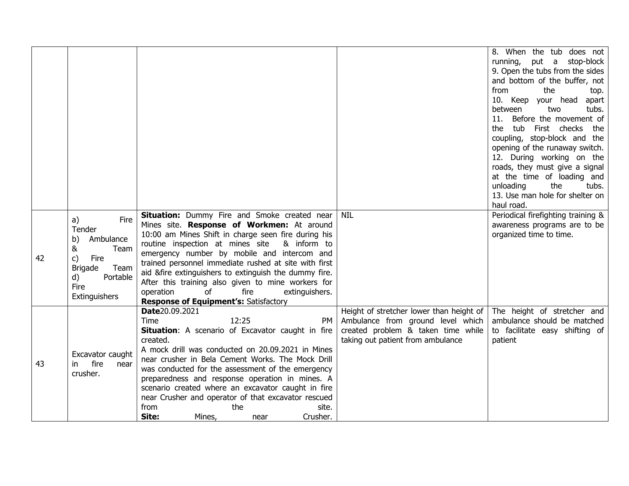|    |                                          |                                                                      |                                                                         | 8. When the tub does not<br>running, put a stop-block |
|----|------------------------------------------|----------------------------------------------------------------------|-------------------------------------------------------------------------|-------------------------------------------------------|
|    |                                          |                                                                      |                                                                         | 9. Open the tubs from the sides                       |
|    |                                          |                                                                      |                                                                         | and bottom of the buffer, not                         |
|    |                                          |                                                                      |                                                                         | from<br>the<br>top.                                   |
|    |                                          |                                                                      |                                                                         | 10. Keep your head<br>apart                           |
|    |                                          |                                                                      |                                                                         | between<br>tubs.<br>two                               |
|    |                                          |                                                                      |                                                                         | Before the movement of<br>11.                         |
|    |                                          |                                                                      |                                                                         | tub First checks<br>the<br>the                        |
|    |                                          |                                                                      |                                                                         | coupling, stop-block and the                          |
|    |                                          |                                                                      |                                                                         | opening of the runaway switch.                        |
|    |                                          |                                                                      |                                                                         | 12. During working on the                             |
|    |                                          |                                                                      |                                                                         | roads, they must give a signal                        |
|    |                                          |                                                                      |                                                                         | at the time of loading and                            |
|    |                                          |                                                                      |                                                                         | unloading<br>the<br>tubs.                             |
|    |                                          |                                                                      |                                                                         | 13. Use man hole for shelter on<br>haul road.         |
|    |                                          | Situation: Dummy Fire and Smoke created near                         | NIL                                                                     | Periodical firefighting training &                    |
|    | a)<br>Fire                               | Mines site. Response of Workmen: At around                           |                                                                         | awareness programs are to be                          |
|    | Tender<br>b)<br>Ambulance<br>&<br>Team   | 10:00 am Mines Shift in charge seen fire during his                  |                                                                         | organized time to time.                               |
|    |                                          | routine inspection at mines site<br>& inform to                      |                                                                         |                                                       |
|    |                                          | emergency number by mobile and intercom and                          |                                                                         |                                                       |
| 42 | c)<br>Fire                               | trained personnel immediate rushed at site with first                |                                                                         |                                                       |
|    | <b>Brigade</b><br>Team<br>d)<br>Portable | aid &fire extinguishers to extinguish the dummy fire.                |                                                                         |                                                       |
|    | Fire                                     | After this training also given to mine workers for                   |                                                                         |                                                       |
|    | Extinguishers                            | operation<br>of<br>fire<br>extinguishers.                            |                                                                         |                                                       |
|    |                                          | <b>Response of Equipment's: Satisfactory</b>                         |                                                                         |                                                       |
|    |                                          | Date20.09.2021                                                       | Height of stretcher lower than height of                                | The height of stretcher and                           |
|    |                                          | Time<br>12:25<br>PM                                                  | Ambulance from ground level which                                       | ambulance should be matched                           |
|    |                                          | <b>Situation:</b> A scenario of Excavator caught in fire<br>created. | created problem & taken time while<br>taking out patient from ambulance | to facilitate easy shifting of<br>patient             |
|    |                                          | A mock drill was conducted on 20.09.2021 in Mines                    |                                                                         |                                                       |
| 43 | Excavator caught<br>fire<br>in.<br>near  | near crusher in Bela Cement Works. The Mock Drill                    |                                                                         |                                                       |
|    |                                          | was conducted for the assessment of the emergency                    |                                                                         |                                                       |
|    | crusher.                                 | preparedness and response operation in mines. A                      |                                                                         |                                                       |
|    |                                          | scenario created where an excavator caught in fire                   |                                                                         |                                                       |
|    |                                          | near Crusher and operator of that excavator rescued                  |                                                                         |                                                       |
|    |                                          | from<br>the<br>site.                                                 |                                                                         |                                                       |
|    |                                          | Site:<br>Crusher.<br>Mines,<br>near                                  |                                                                         |                                                       |